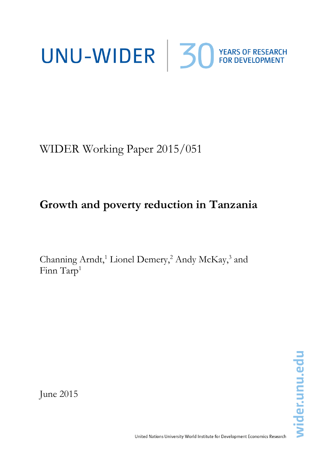# UNU-WIDER 30 YEARS OF RESEARCH

WIDER Working Paper 2015/051

## **Growth and poverty reduction in Tanzania**

Channing Arndt,<sup>1</sup> Lionel Demery,<sup>2</sup> Andy McKay,<sup>3</sup> and Finn Tarp<sup>1</sup>

wider.unu.edu

June 2015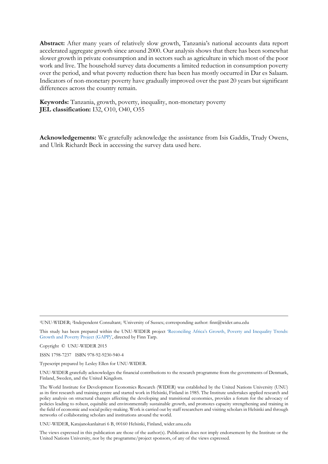**Abstract:** After many years of relatively slow growth, Tanzania's national accounts data report accelerated aggregate growth since around 2000. Our analysis shows that there has been somewhat slower growth in private consumption and in sectors such as agriculture in which most of the poor work and live. The household survey data documents a limited reduction in consumption poverty over the period, and what poverty reduction there has been has mostly occurred in Dar es Salaam. Indicators of non-monetary poverty have gradually improved over the past 20 years but significant differences across the country remain.

**Keywords:** Tanzania, growth, poverty, inequality, non-monetary poverty **JEL classification:** I32, O10, O40, O55

**Acknowledgements:** We gratefully acknowledge the assistance from Isis Gaddis, Trudy Owens, and Ulrik Richardt Beck in accessing the survey data used here.

<sup>1</sup>UNU-WIDER; 2Independent Consultant; <sup>3</sup>University of Sussex; corresponding author: finn@wider.unu.edu

This study has been prepared within the UNU-WIDER project 'Reconciling Africa's Growth[, Poverty and Inequality Trends:](http://www.wider.unu.edu/research/current-programme/en_GB/GAPP/)  [Growth and Poverty Project \(GAPP\)'](http://www.wider.unu.edu/research/current-programme/en_GB/GAPP/), directed by Finn Tarp.

Copyright © UNU-WIDER 2015

ISSN 1798-7237 ISBN 978-92-9230-940-4

Typescript prepared by Lesley Ellen for UNU-WIDER.

UNU-WIDER gratefully acknowledges the financial contributions to the research programme from the governments of Denmark, Finland, Sweden, and the United Kingdom.

The World Institute for Development Economics Research (WIDER) was established by the United Nations University (UNU) as its first research and training centre and started work in Helsinki, Finland in 1985. The Institute undertakes applied research and policy analysis on structural changes affecting the developing and transitional economies, provides a forum for the advocacy of policies leading to robust, equitable and environmentally sustainable growth, and promotes capacity strengthening and training in the field of economic and social policy-making. Work is carried out by staff researchers and visiting scholars in Helsinki and through networks of collaborating scholars and institutions around the world.

UNU-WIDER, Katajanokanlaituri 6 B, 00160 Helsinki, Finland, wider.unu.edu

The views expressed in this publication are those of the author(s). Publication does not imply endorsement by the Institute or the United Nations University, nor by the programme/project sponsors, of any of the views expressed.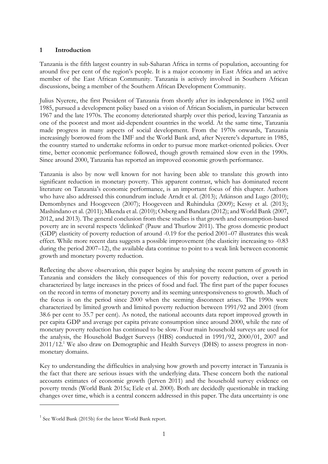#### **1 Introduction**

Tanzania is the fifth largest country in sub-Saharan Africa in terms of population, accounting for around five per cent of the region's people. It is a major economy in East Africa and an active member of the East African Community. Tanzania is actively involved in Southern African discussions, being a member of the Southern African Development Community.

Julius Nyerere, the first President of Tanzania from shortly after its independence in 1962 until 1985, pursued a development policy based on a vision of African Socialism, in particular between 1967 and the late 1970s. The economy deteriorated sharply over this period, leaving Tanzania as one of the poorest and most aid-dependent countries in the world. At the same time, Tanzania made progress in many aspects of social development. From the 1970s onwards, Tanzania increasingly borrowed from the IMF and the World Bank and, after Nyerere's departure in 1985, the country started to undertake reforms in order to pursue more market-oriented policies. Over time, better economic performance followed, though growth remained slow even in the 1990s. Since around 2000, Tanzania has reported an improved economic growth performance.

Tanzania is also by now well known for not having been able to translate this growth into significant reduction in monetary poverty. This apparent contrast, which has dominated recent literature on Tanzania's economic performance, is an important focus of this chapter. Authors who have also addressed this conundrum include Arndt et al. (2013); Atkinson and Lugo (2010); Demombynes and Hoogeveen (2007); Hoogeveen and Ruhinduka (2009); Kessy et al. (2013); Mashindano et al. (2011); Mkenda et al. (2010); Osberg and Bandara (2012); and World Bank (2007, 2012, and 2013). The general conclusion from these studies is that growth and consumption-based poverty are in several respects 'delinked' (Pauw and Thurlow 2011). The gross domestic product (GDP) elasticity of poverty reduction of around -0.19 for the period 2001–07 illustrates this weak effect. While more recent data suggests a possible improvement (the elasticity increasing to -0.83 during the period 2007–12), the available data continue to point to a weak link between economic growth and monetary poverty reduction.

Reflecting the above observation, this paper begins by analysing the recent pattern of growth in Tanzania and considers the likely consequences of this for poverty reduction, over a period characterized by large increases in the prices of food and fuel. The first part of the paper focuses on the record in terms of monetary poverty and its seeming unresponsiveness to growth. Much of the focus is on the period since 2000 when the seeming disconnect arises. The 1990s were characterized by limited growth and limited poverty reduction between 1991/92 and 2001 (from 38.6 per cent to 35.7 per cent). As noted, the national accounts data report improved growth in per capita GDP and average per capita private consumption since around 2000, while the rate of monetary poverty reduction has continued to be slow. Four main household surveys are used for the analysis, the Household Budget Surveys (HBS) conducted in 1991/92, 2000/01, 2007 and 2011/12.<sup>1</sup> We also draw on Demographic and Health Surveys (DHS) to assess progress in nonmonetary domains.

Key to understanding the difficulties in analysing how growth and poverty interact in Tanzania is the fact that there are serious issues with the underlying data. These concern both the national accounts estimates of economic growth (Jerven 2011) and the household survey evidence on poverty trends (World Bank 2015a; Eele et al. 2000). Both are decidedly questionable in tracking changes over time, which is a central concern addressed in this paper. The data uncertainty is one

-

<sup>&</sup>lt;sup>1</sup> See World Bank (2015b) for the latest World Bank report.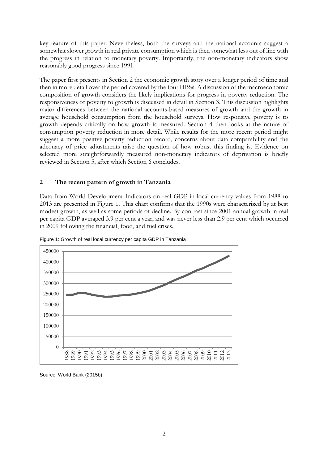key feature of this paper. Nevertheless, both the surveys and the national accounts suggest a somewhat slower growth in real private consumption which is then somewhat less out of line with the progress in relation to monetary poverty. Importantly, the non-monetary indicators show reasonably good progress since 1991.

The paper first presents in Section 2 the economic growth story over a longer period of time and then in more detail over the period covered by the four HBSs. A discussion of the macroeconomic composition of growth considers the likely implications for progress in poverty reduction. The responsiveness of poverty to growth is discussed in detail in Section 3. This discussion highlights major differences between the national accounts-based measures of growth and the growth in average household consumption from the household surveys. How responsive poverty is to growth depends critically on how growth is measured. Section 4 then looks at the nature of consumption poverty reduction in more detail. While results for the more recent period might suggest a more positive poverty reduction record, concerns about data comparability and the adequacy of price adjustments raise the question of how robust this finding is. Evidence on selected more straightforwardly measured non-monetary indicators of deprivation is briefly reviewed in Section 5, after which Section 6 concludes.

#### **2 The recent pattern of growth in Tanzania**

Data from World Development Indicators on real GDP in local currency values from 1988 to 2013 are presented in Figure 1. This chart confirms that the 1990s were characterized by at best modest growth, as well as some periods of decline. By contrast since 2001 annual growth in real per capita GDP averaged 3.9 per cent a year, and was never less than 2.9 per cent which occurred in 2009 following the financial, food, and fuel crises.





Source: World Bank (2015b).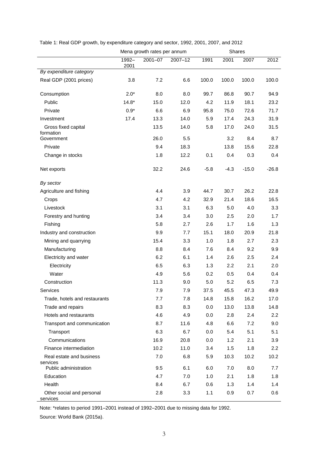|                                                |               | Mena growth rates per annum |             |        | <b>Shares</b> |             |                  |
|------------------------------------------------|---------------|-----------------------------|-------------|--------|---------------|-------------|------------------|
|                                                | 1992-<br>2001 | $2001 - 07$                 | $2007 - 12$ | 1991   | 2001          | 2007        | 2012             |
| By expenditure category                        |               |                             |             |        |               |             |                  |
| Real GDP (2001 prices)                         | 3.8           | 7.2                         | 6.6         | 100.0  | 100.0         | 100.0       | 100.0            |
| Consumption                                    | $2.0*$        | 8.0                         | 8.0         | 99.7   | 86.8          | 90.7        | 94.9             |
| Public                                         | $14.8*$       | 15.0                        | 12.0        | 4.2    | 11.9          | 18.1        | 23.2             |
| Private                                        | $0.9*$        | 6.6                         | 6.9         | 95.8   | 75.0          | 72.6        | 71.7             |
| Investment                                     | 17.4          | 13.3                        | 14.0        | 5.9    | 17.4          | 24.3        | 31.9             |
| Gross fixed capital<br>formation<br>Government |               | 13.5<br>26.0                | 14.0<br>5.5 | 5.8    | 17.0<br>3.2   | 24.0<br>8.4 | 31.5<br>8.7      |
| Private                                        |               | 9.4                         | 18.3        |        | 13.8          | 15.6        | 22.8             |
| Change in stocks                               |               | 1.8                         | 12.2        | 0.1    | 0.4           | 0.3         | 0.4              |
|                                                |               |                             |             |        |               |             |                  |
| Net exports                                    |               | 32.2                        | 24.6        | $-5.8$ | $-4.3$        | $-15.0$     | $-26.8$          |
| By sector                                      |               |                             |             |        |               |             |                  |
| Agriculture and fishing                        |               | 4.4                         | 3.9         | 44.7   | 30.7          | 26.2        | 22.8             |
| Crops                                          |               | 4.7                         | 4.2         | 32.9   | 21.4          | 18.6        | 16.5             |
| Livestock                                      |               | 3.1                         | 3.1         | 6.3    | 5.0           | 4.0         | 3.3              |
| Forestry and hunting                           |               | 3.4                         | 3.4         | 3.0    | 2.5           | 2.0         | 1.7              |
| Fishing                                        |               | 5.8                         | 2.7         | 2.6    | 1.7           | 1.6         | 1.3              |
| Industry and construction                      |               | 9.9                         | 7.7         | 15.1   | 18.0          | 20.9        | 21.8             |
| Mining and quarrying                           |               | 15.4                        | 3.3         | 1.0    | 1.8           | 2.7         | 2.3              |
| Manufacturing                                  |               | 8.8                         | 8.4         | 7.6    | 8.4           | 9.2         | 9.9              |
| Electricity and water                          |               | 6.2                         | 6.1         | 1.4    | 2.6           | 2.5         | 2.4              |
| Electricity                                    |               | 6.5                         | 6.3         | 1.3    | 2.2           | 2.1         | 2.0              |
| Water                                          |               | 4.9                         | 5.6         | 0.2    | 0.5           | 0.4         | 0.4              |
| Construction                                   |               | 11.3                        | 9.0         | 5.0    | 5.2           | 6.5         | 7.3              |
| Services                                       |               | 7.9                         | 7.9         | 37.5   | 45.5          | 47.3        | 49.9             |
| Trade, hotels and restaurants                  |               | 7.7                         | 7.8         | 14.8   | 15.8          | 16.2        | 17.0             |
| Trade and repairs                              |               | 8.3                         | 8.3         | 0.0    | 13.0          | 13.8        | 14.8             |
| Hotels and restaurants                         |               | 4.6                         | 4.9         | 0.0    | 2.8           | 2.4         | $2.2\phantom{0}$ |
| Transport and communication                    |               | 8.7                         | 11.6        | 4.8    | 6.6           | 7.2         | 9.0              |
| Transport                                      |               | 6.3                         | 6.7         | 0.0    | 5.4           | 5.1         | 5.1              |
| Communications                                 |               | 16.9                        | 20.8        | 0.0    | 1.2           | 2.1         | 3.9              |
| Finance intermediation                         |               | 10.2                        | 11.0        | 3.4    | 1.5           | 1.8         | $2.2\phantom{0}$ |
| Real estate and business                       |               | 7.0                         | 6.8         | 5.9    | 10.3          | 10.2        | 10.2             |
| services<br>Public administration              |               | 9.5                         | 6.1         | 6.0    | 7.0           | 8.0         | 7.7              |
| Education                                      |               | 4.7                         | 7.0         | 1.0    | 2.1           | 1.8         | 1.8              |
| Health                                         |               | 8.4                         | 6.7         | 0.6    | 1.3           | 1.4         | 1.4              |
| Other social and personal<br>services          |               | 2.8                         | 3.3         | 1.1    | 0.9           | 0.7         | 0.6              |

Table 1: Real GDP growth, by expenditure category and sector, 1992, 2001, 2007, and 2012

Note: \*relates to period 1991–2001 instead of 1992–2001 due to missing data for 1992.

Source: World Bank (2015a).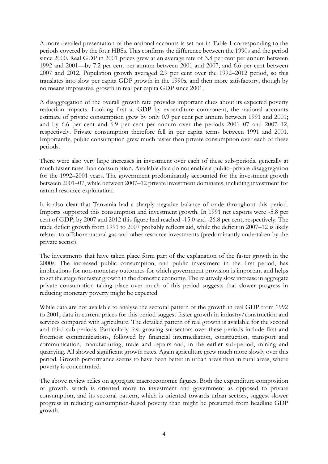A more detailed presentation of the national accounts is set out in Table 1 corresponding to the periods covered by the four HBSs. This confirms the difference between the 1990s and the period since 2000. Real GDP in 2001 prices grew at an average rate of 3.8 per cent per annum between 1992 and 2001—by 7.2 per cent per annum between 2001 and 2007, and 6.6 per cent between 2007 and 2012. Population growth averaged 2.9 per cent over the 1992–2012 period, so this translates into slow per capita GDP growth in the 1990s, and then more satisfactory, though by no means impressive, growth in real per capita GDP since 2001.

A disaggregation of the overall growth rate provides important clues about its expected poverty reduction impacts. Looking first at GDP by expenditure component, the national accounts estimate of private consumption grew by only 0.9 per cent per annum between 1991 and 2001; and by 6.6 per cent and 6.9 per cent per annum over the periods 2001–07 and 2007–12, respectively. Private consumption therefore fell in per capita terms between 1991 and 2001. Importantly, public consumption grew much faster than private consumption over each of these periods.

There were also very large increases in investment over each of these sub-periods, generally at much faster rates than consumption. Available data do not enable a public–private disaggregation for the 1992–2001 years. The government predominantly accounted for the investment growth between 2001–07, while between 2007–12 private investment dominates, including investment for natural resource exploitation.

It is also clear that Tanzania had a sharply negative balance of trade throughout this period. Imports supported this consumption and investment growth. In 1991 net exports were -5.8 per cent of GDP; by 2007 and 2012 this figure had reached -15.0 and -26.8 per cent, respectively. The trade deficit growth from 1991 to 2007 probably reflects aid, while the deficit in 2007–12 is likely related to offshore natural gas and other resource investments (predominantly undertaken by the private sector).

The investments that have taken place form part of the explanation of the faster growth in the 2000s. The increased public consumption, and public investment in the first period, has implications for non-monetary outcomes for which government provision is important and helps to set the stage for faster growth in the domestic economy. The relatively slow increase in aggregate private consumption taking place over much of this period suggests that slower progress in reducing monetary poverty might be expected.

While data are not available to analyse the sectoral pattern of the growth in real GDP from 1992 to 2001, data in current prices for this period suggest faster growth in industry/construction and services compared with agriculture. The detailed pattern of real growth is available for the second and third sub-periods. Particularly fast growing subsectors over these periods include first and foremost communications, followed by financial intermediation, construction, transport and communication, manufacturing, trade and repairs and, in the earlier sub-period, mining and quarrying. All showed significant growth rates. Again agriculture grew much more slowly over this period. Growth performance seems to have been better in urban areas than in rural areas, where poverty is concentrated.

The above review relies on aggregate macroeconomic figures. Both the expenditure composition of growth, which is oriented more to investment and government as opposed to private consumption, and its sectoral pattern, which is oriented towards urban sectors, suggest slower progress in reducing consumption-based poverty than might be presumed from headline GDP growth.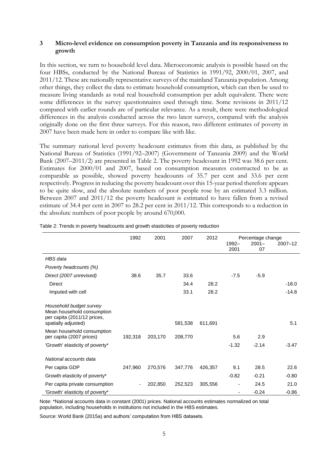#### **3 Micro-level evidence on consumption poverty in Tanzania and its responsiveness to growth**

In this section, we turn to household level data. Microeconomic analysis is possible based on the four HBSs, conducted by the National Bureau of Statistics in 1991/92, 2000/01, 2007, and 2011/12. These are nationally representative surveys of the mainland Tanzania population. Among other things, they collect the data to estimate household consumption, which can then be used to measure living standards as total real household consumption per adult equivalent. There were some differences in the survey questionnaires used through time. Some revisions in 2011/12 compared with earlier rounds are of particular relevance. As a result, there were methodological differences in the analysis conducted across the two latest surveys, compared with the analysis originally done on the first three surveys. For this reason, two different estimates of poverty in 2007 have been made here in order to compare like with like.

The summary national level poverty headcount estimates from this data, as published by the National Bureau of Statistics (1991/92–2007) (Government of Tanzania 2009) and the World Bank (2007–2011/2) are presented in Table 2. The poverty headcount in 1992 was 38.6 per cent. Estimates for 2000/01 and 2007, based on consumption measures constructed to be as comparable as possible, showed poverty headcounts of 35.7 per cent and 33.6 per cent respectively. Progress in reducing the poverty headcount over this 15-year period therefore appears to be quite slow, and the absolute numbers of poor people rose by an estimated 3.3 million. Between 2007 and 2011/12 the poverty headcount is estimated to have fallen from a revised estimate of 34.4 per cent in 2007 to 28.2 per cent in 2011/12. This corresponds to a reduction in the absolute numbers of poor people by around 670,000.

|                                                                                                             | 1992                     | 2001    | 2007    | 2012    |               | Percentage change |             |  |
|-------------------------------------------------------------------------------------------------------------|--------------------------|---------|---------|---------|---------------|-------------------|-------------|--|
|                                                                                                             |                          |         |         |         | 1992-<br>2001 | $2001 -$<br>07    | $2007 - 12$ |  |
| HBS data                                                                                                    |                          |         |         |         |               |                   |             |  |
| Poverty headcounts (%)                                                                                      |                          |         |         |         |               |                   |             |  |
| Direct (2007 unrevised)                                                                                     | 38.6                     | 35.7    | 33.6    |         | $-7.5$        | $-5.9$            |             |  |
| <b>Direct</b>                                                                                               |                          |         | 34.4    | 28.2    |               |                   | $-18.0$     |  |
| Imputed with cell                                                                                           |                          |         | 33.1    | 28.2    |               |                   | $-14.8$     |  |
| Household budget survey<br>Mean household consumption<br>per capita (2011/12 prices,<br>spatially adjusted) |                          |         | 581,538 | 611,691 |               |                   | 5.1         |  |
| Mean household consumption<br>per capita (2007 prices)                                                      | 192,318                  | 203,170 | 208,770 |         | 5.6           | 2.9               |             |  |
| 'Growth' elasticity of poverty*                                                                             |                          |         |         |         | $-1.32$       | $-2.14$           | $-3.47$     |  |
| National accounts data                                                                                      |                          |         |         |         |               |                   |             |  |
| Per capita GDP                                                                                              | 247,960                  | 270,576 | 347,776 | 426,357 | 9.1           | 28.5              | 22.6        |  |
| Growth elasticity of poverty*                                                                               |                          |         |         |         | $-0.82$       | $-0.21$           | $-0.80$     |  |
| Per capita private consumption                                                                              | $\overline{\phantom{a}}$ | 202,850 | 252,523 | 305,556 |               | 24.5              | 21.0        |  |
| 'Growth' elasticity of poverty*                                                                             |                          |         |         |         |               | $-0.24$           | $-0.86$     |  |

Table 2: Trends in poverty headcounts and growth elasticities of poverty reduction

Note: \*National accounts data in constant (2001) prices. National accounts estimates normalized on total population, including households in institutions not included in the HBS estimates.

Source: World Bank (2015a) and authors' computation from HBS datasets.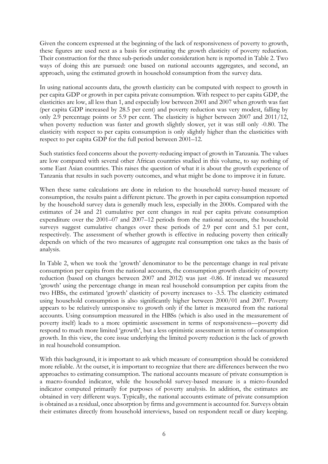Given the concern expressed at the beginning of the lack of responsiveness of poverty to growth, these figures are used next as a basis for estimating the growth elasticity of poverty reduction. Their construction for the three sub-periods under consideration here is reported in Table 2. Two ways of doing this are pursued: one based on national accounts aggregates, and second, an approach, using the estimated growth in household consumption from the survey data.

In using national accounts data, the growth elasticity can be computed with respect to growth in per capita GDP or growth in per capita private consumption. With respect to per capita GDP, the elasticities are low, all less than 1, and especially low between 2001 and 2007 when growth was fast (per capita GDP increased by 28.5 per cent) and poverty reduction was very modest, falling by only 2.9 percentage points or 5.9 per cent. The elasticity is higher between 2007 and 2011/12, when poverty reduction was faster and growth slightly slower, yet it was still only -0.80. The elasticity with respect to per capita consumption is only slightly higher than the elasticities with respect to per capita GDP for the full period between 2001–12.

Such statistics feed concerns about the poverty-reducing impact of growth in Tanzania. The values are low compared with several other African countries studied in this volume, to say nothing of some East Asian countries. This raises the question of what it is about the growth experience of Tanzania that results in such poverty outcomes, and what might be done to improve it in future.

When these same calculations are done in relation to the household survey-based measure of consumption, the results paint a different picture. The growth in per capita consumption reported by the household survey data is generally much less, especially in the 2000s. Compared with the estimates of 24 and 21 cumulative per cent changes in real per capita private consumption expenditure over the 2001–07 and 2007–12 periods from the national accounts, the household surveys suggest cumulative changes over these periods of 2.9 per cent and 5.1 per cent, respectively. The assessment of whether growth is effective in reducing poverty then critically depends on which of the two measures of aggregate real consumption one takes as the basis of analysis.

In Table 2, when we took the 'growth' denominator to be the percentage change in real private consumption per capita from the national accounts, the consumption growth elasticity of poverty reduction (based on changes between 2007 and 2012) was just -0.86. If instead we measured 'growth' using the percentage change in mean real household consumption per capita from the two HBSs, the estimated 'growth' elasticity of poverty increases to -3.5. The elasticity estimated using household consumption is also significantly higher between 2000/01 and 2007. Poverty appears to be relatively unresponsive to growth only if the latter is measured from the national accounts. Using consumption measured in the HBSs (which is also used in the measurement of poverty itself) leads to a more optimistic assessment in terms of responsiveness—poverty did respond to much more limited 'growth', but a less optimistic assessment in terms of consumption growth. In this view, the core issue underlying the limited poverty reduction is the lack of growth in real household consumption.

With this background, it is important to ask which measure of consumption should be considered more reliable. At the outset, it is important to recognize that there are differences between the two approaches to estimating consumption. The national accounts measure of private consumption is a macro-founded indicator, while the household survey-based measure is a micro-founded indicator computed primarily for purposes of poverty analysis. In addition, the estimates are obtained in very different ways. Typically, the national accounts estimate of private consumption is obtained as a residual, once absorption by firms and government is accounted for. Surveys obtain their estimates directly from household interviews, based on respondent recall or diary keeping.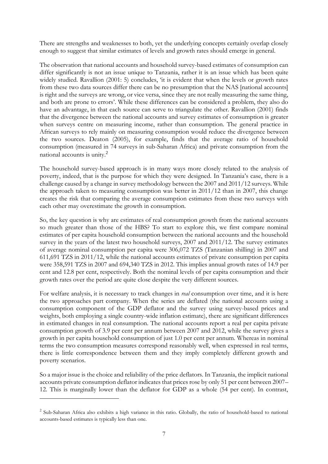There are strengths and weaknesses to both, yet the underlying concepts certainly overlap closely enough to suggest that similar estimates of levels and growth rates should emerge in general.

The observation that national accounts and household survey-based estimates of consumption can differ significantly is not an issue unique to Tanzania, rather it is an issue which has been quite widely studied. Ravallion (2001: 5) concludes, 'it is evident that when the levels or growth rates from these two data sources differ there can be no presumption that the NAS [national accounts] is right and the surveys are wrong, or vice versa, since they are not really measuring the same thing, and both are prone to errors'. While these differences can be considered a problem, they also do have an advantage, in that each source can serve to triangulate the other. Ravallion (2001) finds that the divergence between the national accounts and survey estimates of consumption is greater when surveys centre on measuring income, rather than consumption. The general practice in African surveys to rely mainly on measuring consumption would reduce the divergence between the two sources. Deaton (2005), for example, finds that the average ratio of household consumption (measured in 74 surveys in sub-Saharan Africa) and private consumption from the national accounts is unity.<sup>2</sup>

The household survey-based approach is in many ways more closely related to the analysis of poverty, indeed, that is the purpose for which they were designed. In Tanzania's case, there is a challenge caused by a change in survey methodology between the 2007 and 2011/12 surveys. While the approach taken to measuring consumption was better in 2011/12 than in 2007, this change creates the risk that comparing the average consumption estimates from these two surveys with each other may overestimate the growth in consumption.

So, the key question is why are estimates of real consumption growth from the national accounts so much greater than those of the HBS? To start to explore this, we first compare nominal estimates of per capita household consumption between the national accounts and the household survey in the years of the latest two household surveys, 2007 and 2011/12. The survey estimates of average nominal consumption per capita were 306,072 TZS (Tanzanian shilling) in 2007 and 611,691 TZS in 2011/12, while the national accounts estimates of private consumption per capita were 358,591 TZS in 2007 and 694,340 TZS in 2012. This implies annual growth rates of 14.9 per cent and 12.8 per cent, respectively. Both the nominal levels of per capita consumption and their growth rates over the period are quite close despite the very different sources.

For welfare analysis, it is necessary to track changes in *real* consumption over time, and it is here the two approaches part company. When the series are deflated (the national accounts using a consumption component of the GDP deflator and the survey using survey-based prices and weights, both employing a single country-wide inflation estimate), there are significant differences in estimated changes in real consumption. The national accounts report a real per capita private consumption growth of 3.9 per cent per annum between 2007 and 2012, while the survey gives a growth in per capita household consumption of just 1.0 per cent per annum. Whereas in nominal terms the two consumption measures correspond reasonably well, when expressed in real terms, there is little correspondence between them and they imply completely different growth and poverty scenarios.

So a major issue is the choice and reliability of the price deflators. In Tanzania, the implicit national accounts private consumption deflator indicates that prices rose by only 51 per cent between 2007– 12. This is marginally lower than the deflator for GDP as a whole (54 per cent). In contrast,

<u>.</u>

<sup>&</sup>lt;sup>2</sup> Sub-Saharan Africa also exhibits a high variance in this ratio. Globally, the ratio of household-based to national accounts-based estimates is typically less than one.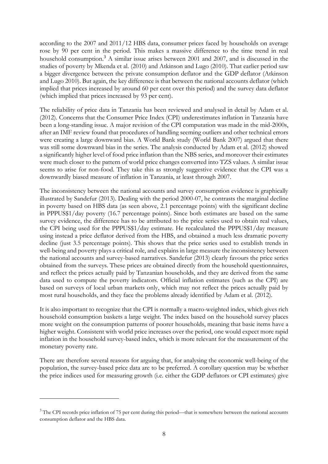according to the 2007 and 2011/12 HBS data, consumer prices faced by households on average rose by 90 per cent in the period. This makes a massive difference to the time trend in real household consumption.<sup>3</sup> A similar issue arises between 2001 and 2007, and is discussed in the studies of poverty by Mkenda et al. (2010) and Atkinson and Lugo (2010). That earlier period saw a bigger divergence between the private consumption deflator and the GDP deflator (Atkinson and Lugo 2010). But again, the key difference is that between the national accounts deflator (which implied that prices increased by around 60 per cent over this period) and the survey data deflator (which implied that prices increased by 93 per cent).

The reliability of price data in Tanzania has been reviewed and analysed in detail by Adam et al. (2012). Concerns that the Consumer Price Index (CPI) underestimates inflation in Tanzania have been a long-standing issue. A major revision of the CPI computation was made in the mid-2000s, after an IMF review found that procedures of handling seeming outliers and other technical errors were creating a large downward bias. A World Bank study (World Bank 2007) argued that there was still some downward bias in the series. The analysis conducted by Adam et al. (2012) showed a significantly higher level of food price inflation than the NBS series, and moreover their estimates were much closer to the pattern of world price changes converted into TZS values. A similar issue seems to arise for non-food. They take this as strongly suggestive evidence that the CPI was a downwardly biased measure of inflation in Tanzania, at least through 2007.

The inconsistency between the national accounts and survey consumption evidence is graphically illustrated by Sandefur (2013). Dealing with the period 2000-07, he contrasts the marginal decline in poverty based on HBS data (as seen above, 2.1 percentage points) with the significant decline in PPPUS\$1/day poverty (16.7 percentage points). Since both estimates are based on the same survey evidence, the difference has to be attributed to the price series used to obtain real values, the CPI being used for the PPPUS\$1/day estimate. He recalculated the PPPUS\$1/day measure using instead a price deflator derived from the HBS, and obtained a much less dramatic poverty decline (just 3.5 percentage points). This shows that the price series used to establish trends in well-being and poverty plays a critical role, and explains in large measure the inconsistency between the national accounts and survey-based narratives. Sandefur (2013) clearly favours the price series obtained from the surveys. These prices are obtained directly from the household questionnaires, and reflect the prices actually paid by Tanzanian households, and they are derived from the same data used to compute the poverty indicators. Official inflation estimates (such as the CPI) are based on surveys of local urban markets only, which may not reflect the prices actually paid by most rural households, and they face the problems already identified by Adam et al. (2012).

It is also important to recognize that the CPI is normally a macro-weighted index, which gives rich household consumption baskets a large weight. The index based on the household survey places more weight on the consumption patterns of poorer households, meaning that basic items have a higher weight. Consistent with world price increases over the period, one would expect more rapid inflation in the household survey-based index, which is more relevant for the measurement of the monetary poverty rate.

There are therefore several reasons for arguing that, for analysing the economic well-being of the population, the survey-based price data are to be preferred. A corollary question may be whether the price indices used for measuring growth (i.e. either the GDP deflators or CPI estimates) give

<u>.</u>

<sup>&</sup>lt;sup>3</sup> The CPI records price inflation of 75 per cent during this period—that is somewhere between the national accounts consumption deflator and the HBS data.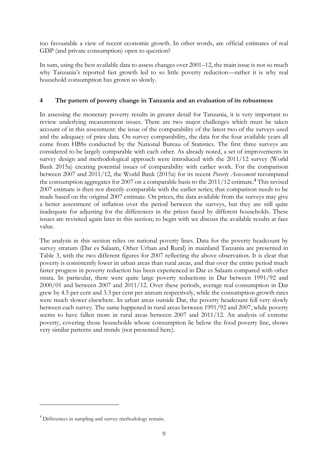too favourable a view of recent economic growth. In other words, are official estimates of real GDP (and private consumption) open to question?

In sum, using the best available data to assess changes over 2001–12, the main issue is not so much why Tanzania's reported fast growth led to so little poverty reduction—rather it is why real household consumption has grown so slowly.

#### **4 The pattern of poverty change in Tanzania and an evaluation of its robustness**

In assessing the monetary poverty results in greater detail for Tanzania, it is very important to review underlying measurement issues. There are two major challenges which must be taken account of in this assessment: the issue of the comparability of the latest two of the surveys used and the adequacy of price data. On survey comparability, the data for the four available years all come from HBSs conducted by the National Bureau of Statistics. The first three surveys are considered to be largely comparable with each other. As already noted, a set of improvements in survey design and methodological approach were introduced with the 2011/12 survey (World Bank 2015a) creating potential issues of comparability with earlier work. For the comparison between 2007 and 2011/12, the World Bank (2015a) for its recent *Poverty Assessment* recomputed the consumption aggregates for 2007 on a comparable basis to the  $2011/12$  estimate.<sup>4</sup> This revised 2007 estimate is then not directly comparable with the earlier series; that comparison needs to be made based on the original 2007 estimate. On prices, the data available from the surveys may give a better assessment of inflation over the period between the surveys, but they are still quite inadequate for adjusting for the differences in the prices faced by different households. These issues are revisited again later in this section; to begin with we discuss the available results at face value.

The analysis in this section relies on national poverty lines. Data for the poverty headcount by survey stratum (Dar es Salaam, Other Urban and Rural) in mainland Tanzania are presented in Table 3, with the two different figures for 2007 reflecting the above observation. It is clear that poverty is consistently lower in urban areas than rural areas, and that over the entire period much faster progress in poverty reduction has been experienced in Dar es Salaam compared with other strata. In particular, there were quite large poverty reductions in Dar between 1991/92 and 2000/01 and between 2007 and 2011/12. Over these periods, average real consumption in Dar grew by 4.5 per cent and 3.3 per cent per annum respectively, while the consumption growth rates were much slower elsewhere. In urban areas outside Dar, the poverty headcount fell very slowly between each survey. The same happened in rural areas between 1991/92 and 2007, while poverty seems to have fallen more in rural areas between 2007 and 2011/12. An analysis of extreme poverty, covering those households whose consumption lie below the food poverty line, shows very similar patterns and trends (not presented here).

-

<sup>&</sup>lt;sup>4</sup> Differences in sampling and survey methodology remain.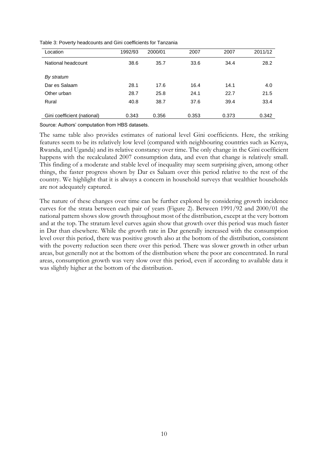| Location                    | 1992/93 | 2000/01 | 2007  | 2007  | 2011/12 |
|-----------------------------|---------|---------|-------|-------|---------|
| National headcount          | 38.6    | 35.7    | 33.6  | 34.4  | 28.2    |
| By stratum                  |         |         |       |       |         |
| Dar es Salaam               | 28.1    | 17.6    | 16.4  | 14.1  | 4.0     |
| Other urban                 | 28.7    | 25.8    | 24.1  | 22.7  | 21.5    |
| Rural                       | 40.8    | 38.7    | 37.6  | 39.4  | 33.4    |
| Gini coefficient (national) | 0.343   | 0.356   | 0.353 | 0.373 | 0.342   |

Table 3: Poverty headcounts and Gini coefficients for Tanzania

Source: Authors' computation from HBS datasets.

The same table also provides estimates of national level Gini coefficients. Here, the striking features seem to be its relatively low level (compared with neighbouring countries such as Kenya, Rwanda, and Uganda) and its relative constancy over time. The only change in the Gini coefficient happens with the recalculated 2007 consumption data, and even that change is relatively small. This finding of a moderate and stable level of inequality may seem surprising given, among other things, the faster progress shown by Dar es Salaam over this period relative to the rest of the country. We highlight that it is always a concern in household surveys that wealthier households are not adequately captured.

The nature of these changes over time can be further explored by considering growth incidence curves for the strata between each pair of years (Figure 2). Between 1991/92 and 2000/01 the national pattern shows slow growth throughout most of the distribution, except at the very bottom and at the top. The stratum level curves again show that growth over this period was much faster in Dar than elsewhere. While the growth rate in Dar generally increased with the consumption level over this period, there was positive growth also at the bottom of the distribution, consistent with the poverty reduction seen there over this period. There was slower growth in other urban areas, but generally not at the bottom of the distribution where the poor are concentrated. In rural areas, consumption growth was very slow over this period, even if according to available data it was slightly higher at the bottom of the distribution.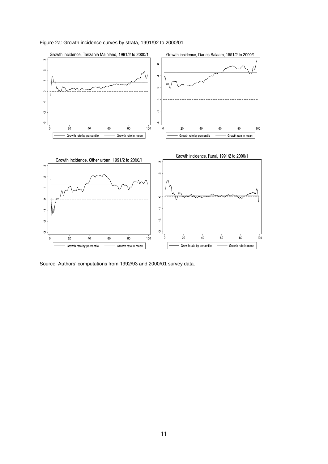

Figure 2a: Growth incidence curves by strata, 1991/92 to 2000/01

Source: Authors' computations from 1992/93 and 2000/01 survey data.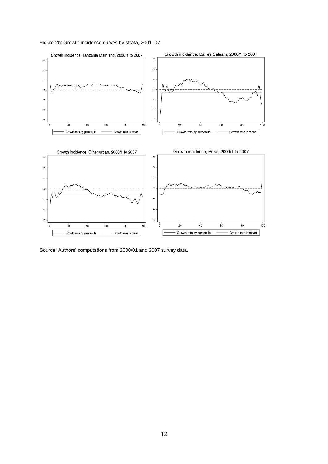Figure 2b: Growth incidence curves by strata, 2001–07



Source: Authors' computations from 2000/01 and 2007 survey data.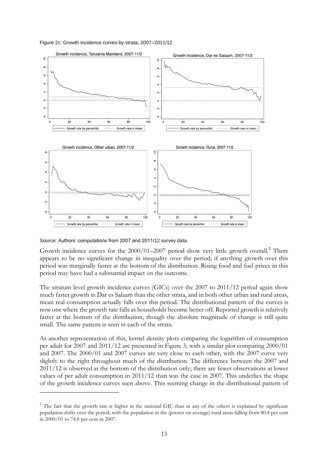Figure 2c: Growth incidence curves by strata, 2007–2011/12



Source: Authors' computations from 2007 and 2011/12 survey data.

-

Growth incidence curves for the  $2000/01-2007$  period show very little growth overall.<sup>5</sup> There appears to be no significant change in inequality over the period; if anything growth over this period was marginally faster at the bottom of the distribution. Rising food and fuel prices in this period may have had a substantial impact on the outcome.

The stratum level growth incidence curves (GICs) over the 2007 to 2011/12 period again show much faster growth in Dar es Salaam than the other strata, and in both other urban and rural areas, mean real consumption actually falls over this period. The distributional pattern of the curves is now one where the growth rate falls as households become better off. Reported growth is relatively faster at the bottom of the distribution, though the absolute magnitude of change is still quite small. The same pattern is seen in each of the strata.

As another representation of this, kernel density plots comparing the logarithm of consumption per adult for 2007 and 2011/12 are presented in Figure 3, with a similar plot comparing 2000/01 and 2007. The 2000/01 and 2007 curves are very close to each other, with the 2007 curve very slightly to the right throughout much of the distribution. The difference between the 2007 and 2011/12 is observed at the bottom of the distribution only; there are fewer observations at lower values of per adult consumption in 2011/12 than was the case in 2007. This underlies the shape of the growth incidence curves seen above. This seeming change in the distributional pattern of

 $5$  The fact that the growth rate is higher in the national GIC than in any of the others is explained by significant population shifts over the period, with the population in the (poorer on average) rural areas falling from 80.4 per cent in 2000/01 to 74.8 per cent in 2007.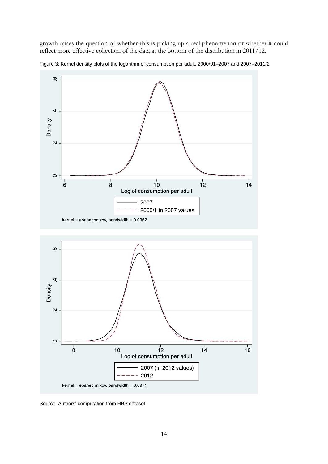growth raises the question of whether this is picking up a real phenomenon or whether it could reflect more effective collection of the data at the bottom of the distribution in 2011/12.



Figure 3: Kernel density plots of the logarithm of consumption per adult, 2000/01–2007 and 2007–2011/2



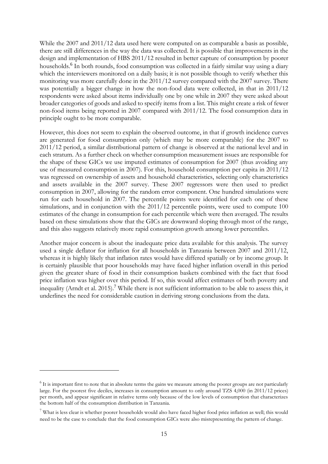While the 2007 and 2011/12 data used here were computed on as comparable a basis as possible, there are still differences in the way the data was collected. It is possible that improvements in the design and implementation of HBS 2011/12 resulted in better capture of consumption by poorer households.<sup>6</sup> In both rounds, food consumption was collected in a fairly similar way using a diary which the interviewers monitored on a daily basis; it is not possible though to verify whether this monitoring was more carefully done in the 2011/12 survey compared with the 2007 survey. There was potentially a bigger change in how the non-food data were collected, in that in 2011/12 respondents were asked about items individually one by one while in 2007 they were asked about broader categories of goods and asked to specify items from a list. This might create a risk of fewer non-food items being reported in 2007 compared with 2011/12. The food consumption data in principle ought to be more comparable.

However, this does not seem to explain the observed outcome, in that if growth incidence curves are generated for food consumption only (which may be more comparable) for the 2007 to 2011/12 period, a similar distributional pattern of change is observed at the national level and in each stratum. As a further check on whether consumption measurement issues are responsible for the shape of these GICs we use imputed estimates of consumption for 2007 (thus avoiding any use of measured consumption in 2007). For this, household consumption per capita in 2011/12 was regressed on ownership of assets and household characteristics, selecting only characteristics and assets available in the 2007 survey. These 2007 regressors were then used to predict consumption in 2007, allowing for the random error component. One hundred simulations were run for each household in 2007. The percentile points were identified for each one of these simulations, and in conjunction with the 2011/12 percentile points, were used to compute 100 estimates of the change in consumption for each percentile which were then averaged. The results based on these simulations show that the GICs are downward sloping through most of the range, and this also suggests relatively more rapid consumption growth among lower percentiles.

Another major concern is about the inadequate price data available for this analysis. The survey used a single deflator for inflation for all households in Tanzania between 2007 and 2011/12, whereas it is highly likely that inflation rates would have differed spatially or by income group. It is certainly plausible that poor households may have faced higher inflation overall in this period given the greater share of food in their consumption baskets combined with the fact that food price inflation was higher over this period. If so, this would affect estimates of both poverty and inequality (Arndt et al. 2015).<sup>7</sup> While there is not sufficient information to be able to assess this, it underlines the need for considerable caution in deriving strong conclusions from the data.

<u>.</u>

 $6$  It is important first to note that in absolute terms the gains we measure among the poorer groups are not particularly large. For the poorest five deciles, increases in consumption amount to only around TZS 4,000 (in 2011/12 prices) per month, and appear significant in relative terms only because of the low levels of consumption that characterizes the bottom half of the consumption distribution in Tanzania.

<sup>&</sup>lt;sup>7</sup> What is less clear is whether poorer households would also have faced higher food price inflation as well; this would need to be the case to conclude that the food consumption GICs were also misrepresenting the pattern of change.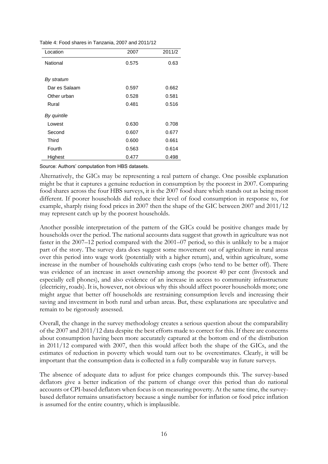|  |  | Table 4: Food shares in Tanzania, 2007 and 2011/12 |  |  |
|--|--|----------------------------------------------------|--|--|
|  |  |                                                    |  |  |

| Location      | 2007  | 2011/2 |
|---------------|-------|--------|
| National      | 0.575 | 0.63   |
|               |       |        |
| By stratum    |       |        |
| Dar es Salaam | 0.597 | 0.662  |
| Other urban   | 0.528 | 0.581  |
| Rural         | 0.481 | 0.516  |
| By quintile   |       |        |
| Lowest        | 0.630 | 0.708  |
| Second        | 0.607 | 0.677  |
| Third         | 0.600 | 0.661  |
| Fourth        | 0.563 | 0.614  |
| Highest       | 0.477 | 0.498  |

Source: Authors' computation from HBS datasets.

Alternatively, the GICs may be representing a real pattern of change. One possible explanation might be that it captures a genuine reduction in consumption by the poorest in 2007. Comparing food shares across the four HBS surveys, it is the 2007 food share which stands out as being most different. If poorer households did reduce their level of food consumption in response to, for example, sharply rising food prices in 2007 then the shape of the GIC between 2007 and 2011/12 may represent catch up by the poorest households.

Another possible interpretation of the pattern of the GICs could be positive changes made by households over the period. The national accounts data suggest that growth in agriculture was not faster in the 2007–12 period compared with the 2001–07 period, so this is unlikely to be a major part of the story. The survey data does suggest some movement out of agriculture in rural areas over this period into wage work (potentially with a higher return), and, within agriculture, some increase in the number of households cultivating cash crops (who tend to be better off). There was evidence of an increase in asset ownership among the poorest 40 per cent (livestock and especially cell phones), and also evidence of an increase in access to community infrastructure (electricity, roads). It is, however, not obvious why this should affect poorer households more; one might argue that better off households are restraining consumption levels and increasing their saving and investment in both rural and urban areas. But, these explanations are speculative and remain to be rigorously assessed.

Overall, the change in the survey methodology creates a serious question about the comparability of the 2007 and 2011/12 data despite the best efforts made to correct for this. If there are concerns about consumption having been more accurately captured at the bottom end of the distribution in 2011/12 compared with 2007, then this would affect both the shape of the GICs, and the estimates of reduction in poverty which would turn out to be overestimates. Clearly, it will be important that the consumption data is collected in a fully comparable way in future surveys.

The absence of adequate data to adjust for price changes compounds this. The survey-based deflators give a better indication of the pattern of change over this period than do national accounts or CPI-based deflators when focus is on measuring poverty. At the same time, the surveybased deflator remains unsatisfactory because a single number for inflation or food price inflation is assumed for the entire country, which is implausible.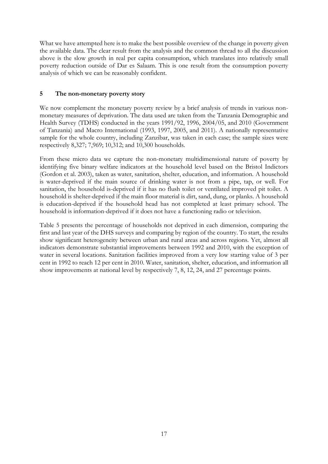What we have attempted here is to make the best possible overview of the change in poverty given the available data. The clear result from the analysis and the common thread to all the discussion above is the slow growth in real per capita consumption, which translates into relatively small poverty reduction outside of Dar es Salaam. This is one result from the consumption poverty analysis of which we can be reasonably confident.

### **5 The non-monetary poverty story**

We now complement the monetary poverty review by a brief analysis of trends in various nonmonetary measures of deprivation. The data used are taken from the Tanzania Demographic and Health Survey (TDHS) conducted in the years 1991/92, 1996, 2004/05, and 2010 (Government of Tanzania) and Macro International (1993, 1997, 2005, and 2011). A nationally representative sample for the whole country, including Zanzibar, was taken in each case; the sample sizes were respectively 8,327; 7,969; 10,312; and 10,300 households.

From these micro data we capture the non-monetary multidimensional nature of poverty by identifying five binary welfare indicators at the household level based on the Bristol Indictors (Gordon et al. 2003), taken as water, sanitation, shelter, education, and information. A household is water-deprived if the main source of drinking water is not from a pipe, tap, or well. For sanitation, the household is-deprived if it has no flush toilet or ventilated improved pit toilet. A household is shelter-deprived if the main floor material is dirt, sand, dung, or planks. A household is education-deprived if the household head has not completed at least primary school. The household is information-deprived if it does not have a functioning radio or television.

Table 5 presents the percentage of households not deprived in each dimension, comparing the first and last year of the DHS surveys and comparing by region of the country. To start, the results show significant heterogeneity between urban and rural areas and across regions. Yet, almost all indicators demonstrate substantial improvements between 1992 and 2010, with the exception of water in several locations. Sanitation facilities improved from a very low starting value of 3 per cent in 1992 to reach 12 per cent in 2010. Water, sanitation, shelter, education, and information all show improvements at national level by respectively 7, 8, 12, 24, and 27 percentage points.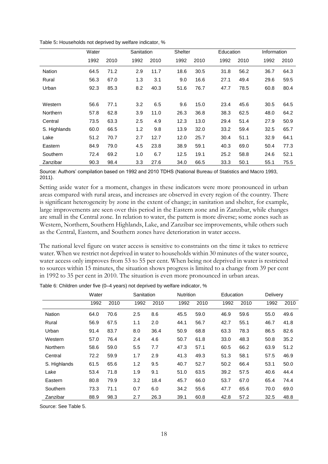|                 | Water |      | Sanitation |      |      | <b>Shelter</b> |      | Education |      | Information |  |
|-----------------|-------|------|------------|------|------|----------------|------|-----------|------|-------------|--|
|                 | 1992  | 2010 | 1992       | 2010 | 1992 | 2010           | 1992 | 2010      | 1992 | 2010        |  |
| Nation          | 64.5  | 71.2 | 2.9        | 11.7 | 18.6 | 30.5           | 31.8 | 56.2      | 36.7 | 64.3        |  |
| Rural           | 56.3  | 67.0 | 1.3        | 3.1  | 9.0  | 16.6           | 27.1 | 49.4      | 29.6 | 59.5        |  |
| Urban           | 92.3  | 85.3 | 8.2        | 40.3 | 51.6 | 76.7           | 47.7 | 78.5      | 60.8 | 80.4        |  |
|                 |       |      |            |      |      |                |      |           |      |             |  |
| Western         | 56.6  | 77.1 | 3.2        | 6.5  | 9.6  | 15.0           | 23.4 | 45.6      | 30.5 | 64.5        |  |
| <b>Northern</b> | 57.8  | 62.8 | 3.9        | 11.0 | 26.3 | 36.8           | 38.3 | 62.5      | 48.0 | 64.2        |  |
| Central         | 73.5  | 63.3 | 2.5        | 4.9  | 12.3 | 13.0           | 29.4 | 51.4      | 27.9 | 50.9        |  |
| S. Highlands    | 60.0  | 66.5 | 1.2        | 9.8  | 13.9 | 32.0           | 33.2 | 59.4      | 32.5 | 65.7        |  |
| Lake            | 51.2  | 70.7 | 2.7        | 12.7 | 12.0 | 25.7           | 30.4 | 51.1      | 32.9 | 64.1        |  |
| Eastern         | 84.9  | 79.0 | 4.5        | 23.8 | 38.9 | 59.1           | 40.3 | 69.0      | 50.4 | 77.3        |  |
| Southern        | 72.4  | 69.2 | 1.0        | 6.7  | 12.5 | 19.1           | 25.2 | 58.8      | 24.6 | 52.1        |  |
| Zanzibar        | 90.3  | 98.4 | 3.3        | 27.6 | 34.0 | 66.5           | 33.3 | 50.1      | 55.1 | 75.5        |  |

Table 5**:** Households not deprived by welfare indicator, %

Source: Authors' compilation based on 1992 and 2010 TDHS (National Bureau of Statistics and Macro 1993, 2011).

Setting aside water for a moment, changes in these indicators were more pronounced in urban areas compared with rural areas, and increases are observed in every region of the country. There is significant heterogeneity by zone in the extent of change; in sanitation and shelter, for example, large improvements are seen over this period in the Eastern zone and in Zanzibar, while changes are small in the Central zone. In relation to water, the pattern is more diverse; some zones such as Western, Northern, Southern Highlands, Lake, and Zanzibar see improvements, while others such as the Central, Eastern, and Southern zones have deterioration in water access.

The national level figure on water access is sensitive to constraints on the time it takes to retrieve water. When we restrict not deprived in water to households within 30 minutes of the water source, water access only improves from 53 to 55 per cent. When being not deprived in water is restricted to sources within 15 minutes, the situation shows progress is limited to a change from 39 per cent in 1992 to 35 per cent in 2010. The situation is even more pronounced in urban areas.

|               | Water |      |      | Sanitation |      | <b>Nutrition</b> |      | Education | Delivery |      |
|---------------|-------|------|------|------------|------|------------------|------|-----------|----------|------|
|               | 1992  | 2010 | 1992 | 2010       | 1992 | 2010             | 1992 | 2010      | 1992     | 2010 |
| <b>Nation</b> | 64.0  | 70.6 | 2.5  | 8.6        | 45.5 | 59.0             | 46.9 | 59.6      | 55.0     | 49.6 |
| Rural         | 56.9  | 67.5 | 1.1  | 2.0        | 44.1 | 56.7             | 42.7 | 55.1      | 46.7     | 41.8 |
| Urban         | 91.4  | 83.7 | 8.0  | 36.4       | 50.9 | 68.8             | 63.3 | 78.3      | 86.5     | 82.6 |
| Western       | 57.0  | 76.4 | 2.4  | 4.6        | 50.7 | 61.8             | 33.0 | 48.3      | 50.8     | 35.2 |
| Northern      | 58.6  | 59.0 | 5.5  | 7.7        | 47.3 | 57.1             | 60.5 | 66.2      | 63.9     | 51.2 |
| Central       | 72.2  | 59.9 | 1.7  | 2.9        | 41.3 | 49.3             | 51.3 | 58.1      | 57.5     | 46.9 |
| S. Highlands  | 61.5  | 65.6 | 1.2  | 9.5        | 40.7 | 52.7             | 50.2 | 66.4      | 53.1     | 50.0 |
| Lake          | 53.4  | 71.8 | 1.9  | 9.1        | 51.0 | 63.5             | 39.2 | 57.5      | 40.6     | 44.4 |
| Eastern       | 80.8  | 79.9 | 3.2  | 18.4       | 45.7 | 66.0             | 53.7 | 67.0      | 65.4     | 74.4 |
| Southern      | 73.3  | 71.1 | 0.7  | 6.0        | 34.2 | 55.6             | 47.7 | 65.6      | 70.0     | 69.0 |
| Zanzibar      | 88.9  | 98.3 | 2.7  | 26.3       | 39.1 | 60.8             | 42.8 | 57.2      | 32.5     | 48.8 |

Table 6: Children under five (0–4 years) not deprived by welfare indicator, %

Source: See Table 5.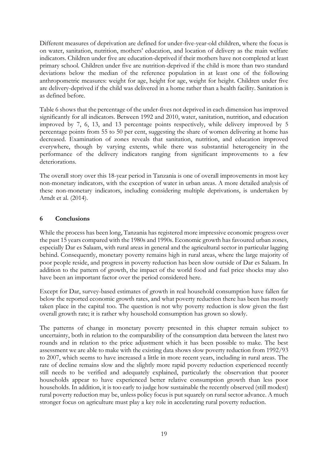Different measures of deprivation are defined for under-five-year-old children, where the focus is on water, sanitation, nutrition, mothers' education, and location of delivery as the main welfare indicators. Children under five are education-deprived if their mothers have not completed at least primary school. Children under five are nutrition-deprived if the child is more than two standard deviations below the median of the reference population in at least one of the following anthropometric measures: weight for age, height for age, weight for height. Children under five are delivery-deprived if the child was delivered in a home rather than a health facility. Sanitation is as defined before.

Table 6 shows that the percentage of the under-fives not deprived in each dimension has improved significantly for all indicators. Between 1992 and 2010, water, sanitation, nutrition, and education improved by 7, 6, 13, and 13 percentage points respectively, while delivery improved by 5 percentage points from 55 to 50 per cent, suggesting the share of women delivering at home has decreased. Examination of zones reveals that sanitation, nutrition, and education improved everywhere, though by varying extents, while there was substantial heterogeneity in the performance of the delivery indicators ranging from significant improvements to a few deteriorations.

The overall story over this 18-year period in Tanzania is one of overall improvements in most key non-monetary indicators, with the exception of water in urban areas. A more detailed analysis of these non-monetary indicators, including considering multiple deprivations, is undertaken by Arndt et al. (2014).

#### **6 Conclusions**

While the process has been long, Tanzania has registered more impressive economic progress over the past 15 years compared with the 1980s and 1990s. Economic growth has favoured urban zones, especially Dar es Salaam, with rural areas in general and the agricultural sector in particular lagging behind. Consequently, monetary poverty remains high in rural areas, where the large majority of poor people reside, and progress in poverty reduction has been slow outside of Dar es Salaam. In addition to the pattern of growth, the impact of the world food and fuel price shocks may also have been an important factor over the period considered here.

Except for Dar, survey-based estimates of growth in real household consumption have fallen far below the reported economic growth rates, and what poverty reduction there has been has mostly taken place in the capital too. The question is not why poverty reduction is slow given the fast overall growth rate; it is rather why household consumption has grown so slowly.

The patterns of change in monetary poverty presented in this chapter remain subject to uncertainty, both in relation to the comparability of the consumption data between the latest two rounds and in relation to the price adjustment which it has been possible to make. The best assessment we are able to make with the existing data shows slow poverty reduction from 1992/93 to 2007, which seems to have increased a little in more recent years, including in rural areas. The rate of decline remains slow and the slightly more rapid poverty reduction experienced recently still needs to be verified and adequately explained, particularly the observation that poorer households appear to have experienced better relative consumption growth than less poor households. In addition, it is too early to judge how sustainable the recently observed (still modest) rural poverty reduction may be, unless policy focus is put squarely on rural sector advance. A much stronger focus on agriculture must play a key role in accelerating rural poverty reduction.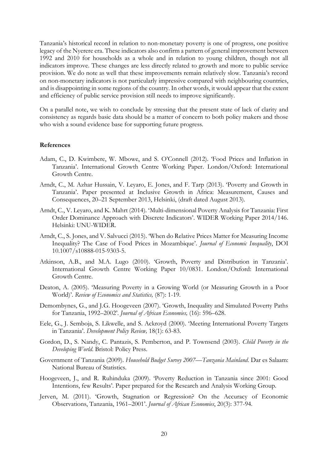Tanzania's historical record in relation to non-monetary poverty is one of progress, one positive legacy of the Nyerere era. These indicators also confirm a pattern of general improvement between 1992 and 2010 for households as a whole and in relation to young children, though not all indicators improve. These changes are less directly related to growth and more to public service provision. We do note as well that these improvements remain relatively slow. Tanzania's record on non-monetary indicators is not particularly impressive compared with neighbouring countries, and is disappointing in some regions of the country. In other words, it would appear that the extent and efficiency of public service provision still needs to improve significantly.

On a parallel note, we wish to conclude by stressing that the present state of lack of clarity and consistency as regards basic data should be a matter of concern to both policy makers and those who wish a sound evidence base for supporting future progress.

#### **References**

- Adam, C., D. Kwimbere, W. Mbowe, and S. O'Connell (2012). 'Food Prices and Inflation in Tanzania'. International Growth Centre Working Paper. London/Oxford: International Growth Centre.
- Arndt, C., M. Azhar Hussain, V. Leyaro, E. Jones, and F. Tarp (2013). 'Poverty and Growth in Tanzania'. Paper presented at Inclusive Growth in Africa: Measurement, Causes and Consequences, 20–21 September 2013, Helsinki, (draft dated August 2013).
- Arndt, C., V. Leyaro, and K. Mahrt (2014). 'Multi-dimensional Poverty Analysis for Tanzania: First Order Dominance Approach with Discrete Indicators'. WIDER Working Paper 2014/146. Helsinki: UNU-WIDER.
- Arndt, C., S. Jones, and V. Salvucci (2015). 'When do Relative Prices Matter for Measuring Income Inequality? The Case of Food Prices in Mozambique'. *Journal of Economic Inequality*, DOI 10.1007/s10888-015-9303-5.
- Atkinson, A.B., and M.A. Lugo (2010). 'Growth, Poverty and Distribution in Tanzania'*.* International Growth Centre Working Paper 10/0831. London/Oxford: International Growth Centre.
- Deaton, A. (2005). 'Measuring Poverty in a Growing World (or Measuring Growth in a Poor World)'. *Review of Economics and Statistics,* (87): 1-19.
- Demombynes, G., and J.G. Hoogeveen (2007). 'Growth, Inequality and Simulated Poverty Paths for Tanzania, 1992–2002'. *Journal of African Economies,* (16): 596–628.
- Eele, G., J. Semboja, S. Likwelle, and S. Ackroyd (2000). 'Meeting International Poverty Targets in Tanzania'. *Development Policy Review,* 18(1): 63-83.
- Gordon, D., S. Nandy, C. Pantazis, S. Pemberton, and P. Townsend (2003). *Child Poverty in the Developing World*. Bristol: Policy Press.
- Government of Tanzania (2009). *Household Budget Survey 2007—Tanzania Mainland*. Dar es Salaam: National Bureau of Statistics.
- Hoogeveen, J., and R. Ruhinduka (2009). 'Poverty Reduction in Tanzania since 2001: Good Intentions, few Results'. Paper prepared for the Research and Analysis Working Group.
- Jerven, M. (2011). 'Growth, Stagnation or Regression? On the Accuracy of Economic Observations, Tanzania, 1961–2001'. *Journal of African Economies*, 20(3): 377-94.